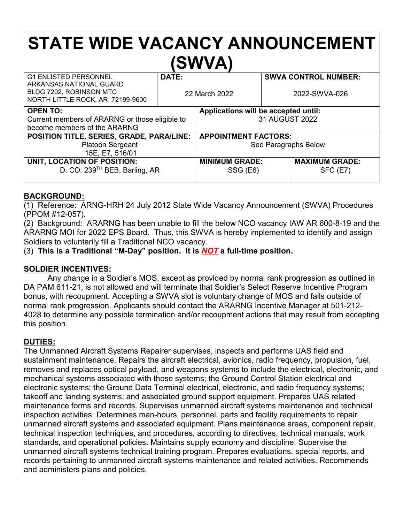# **STATE WIDE VACANCY ANNOUNCEMENT (SWVA)** G1 ENLISTED PERSONNEL

| <b>G1 ENLISTED PERSONNEL</b>                                                           | DATE:         |                                      |               | <b>SWVA CONTROL NUMBER:</b> |
|----------------------------------------------------------------------------------------|---------------|--------------------------------------|---------------|-----------------------------|
| ARKANSAS NATIONAL GUARD<br>BLDG 7202, ROBINSON MTC<br>NORTH LITTLE ROCK, AR 72199-9600 | 22 March 2022 |                                      | 2022-SWVA-026 |                             |
| <b>OPEN TO:</b>                                                                        |               | Applications will be accepted until: |               |                             |
| Current members of ARARNG or those eligible to                                         |               | 31 AUGUST 2022                       |               |                             |
| become members of the ARARNG                                                           |               |                                      |               |                             |
| POSITION TITLE, SERIES, GRADE, PARA/LINE:                                              |               | <b>APPOINTMENT FACTORS:</b>          |               |                             |
| Platoon Sergeant                                                                       |               | See Paragraphs Below                 |               |                             |
| 15E, E7, 516/01                                                                        |               |                                      |               |                             |
| UNIT, LOCATION OF POSITION:                                                            |               | <b>MINIMUM GRADE:</b>                |               | <b>MAXIMUM GRADE:</b>       |
| D. CO. 239 <sup>TH</sup> BEB, Barling, AR                                              |               | SSG (E6)                             |               | SFC (E7)                    |
|                                                                                        |               |                                      |               |                             |

## **BACKGROUND:**

(1) Reference: ARNG-HRH 24 July 2012 State Wide Vacancy Announcement (SWVA) Procedures (PPOM #12-057).

(2) Background: ARARNG has been unable to fill the below NCO vacancy IAW AR 600-8-19 and the ARARNG MOI for 2022 EPS Board. Thus, this SWVA is hereby implemented to identify and assign Soldiers to voluntarily fill a Traditional NCO vacancy.

(3) **This is a Traditional "M-Day" position. It is** *NOT* **a full-time position.**

### **SOLDIER INCENTIVES:**

Any change in a Soldier's MOS, except as provided by normal rank progression as outlined in DA PAM 611-21, is not allowed and will terminate that Soldier's Select Reserve Incentive Program bonus, with recoupment. Accepting a SWVA slot is voluntary change of MOS and falls outside of normal rank progression. Applicants should contact the ARARNG Incentive Manager at 501-212- 4028 to determine any possible termination and/or recoupment actions that may result from accepting this position.

# **DUTIES:**

The Unmanned Aircraft Systems Repairer supervises, inspects and performs UAS field and sustainment maintenance. Repairs the aircraft electrical, avionics, radio frequency, propulsion, fuel, removes and replaces optical payload, and weapons systems to include the electrical, electronic, and mechanical systems associated with those systems; the Ground Control Station electrical and electronic systems; the Ground Data Terminal electrical, electronic, and radio frequency systems; takeoff and landing systems; and associated ground support equipment. Prepares UAS related maintenance forms and records. Supervises unmanned aircraft systems maintenance and technical inspection activities. Determines man-hours, personnel, parts and facility requirements to repair unmanned aircraft systems and associated equipment. Plans maintenance areas, component repair, technical inspection techniques, and procedures, according to directives, technical manuals, work standards, and operational policies. Maintains supply economy and discipline. Supervise the unmanned aircraft systems technical training program. Prepares evaluations, special reports, and records pertaining to unmanned aircraft systems maintenance and related activities. Recommends and administers plans and policies.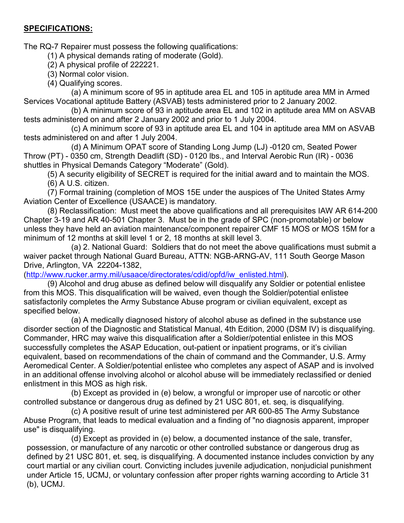### **SPECIFICATIONS:**

The RQ-7 Repairer must possess the following qualifications:

(1) A physical demands rating of moderate (Gold).

(2) A physical profile of 222221.

(3) Normal color vision.

(4) Qualifying scores.

(a) A minimum score of 95 in aptitude area EL and 105 in aptitude area MM in Armed Services Vocational aptitude Battery (ASVAB) tests administered prior to 2 January 2002.

(b) A minimum score of 93 in aptitude area EL and 102 in aptitude area MM on ASVAB tests administered on and after 2 January 2002 and prior to 1 July 2004.

(c) A minimum score of 93 in aptitude area EL and 104 in aptitude area MM on ASVAB tests administered on and after 1 July 2004.

(d) A Minimum OPAT score of Standing Long Jump (LJ) -0120 cm, Seated Power Throw (PT) - 0350 cm, Strength Deadlift (SD) - 0120 lbs., and Interval Aerobic Run (IR) - 0036 shuttles in Physical Demands Category "Moderate" (Gold).

(5) A security eligibility of SECRET is required for the initial award and to maintain the MOS.

(6) A U.S. citizen.

(7) Formal training (completion of MOS 15E under the auspices of The United States Army Aviation Center of Excellence (USAACE) is mandatory.

(8) Reclassification: Must meet the above qualifications and all prerequisites IAW AR 614-200 Chapter 3-19 and AR 40-501 Chapter 3. Must be in the grade of SPC (non-promotable) or below unless they have held an aviation maintenance/component repairer CMF 15 MOS or MOS 15M for a minimum of 12 months at skill level 1 or 2, 18 months at skill level 3.

(a) 2. National Guard: Soldiers that do not meet the above qualifications must submit a waiver packet through National Guard Bureau, ATTN: NGB-ARNG-AV, 111 South George Mason Drive, Arlington, VA 22204-1382,

[\(http://www.rucker.army.mil/usaace/directorates/cdid/opfd/iw\\_enlisted.html\)](http://www.rucker.army.mil/usaace/directorates/cdid/opfd/iw_enlisted.html).

(9) Alcohol and drug abuse as defined below will disqualify any Soldier or potential enlistee from this MOS. This disqualification will be waived, even though the Soldier/potential enlistee satisfactorily completes the Army Substance Abuse program or civilian equivalent, except as specified below.

(a) A medically diagnosed history of alcohol abuse as defined in the substance use disorder section of the Diagnostic and Statistical Manual, 4th Edition, 2000 (DSM IV) is disqualifying. Commander, HRC may waive this disqualification after a Soldier/potential enlistee in this MOS successfully completes the ASAP Education, out-patient or inpatient programs, or it's civilian equivalent, based on recommendations of the chain of command and the Commander, U.S. Army Aeromedical Center. A Soldier/potential enlistee who completes any aspect of ASAP and is involved in an additional offense involving alcohol or alcohol abuse will be immediately reclassified or denied enlistment in this MOS as high risk.

(b) Except as provided in (e) below, a wrongful or improper use of narcotic or other controlled substance or dangerous drug as defined by 21 USC 801, et. seq, is disqualifying.

(c) A positive result of urine test administered per AR 600-85 The Army Substance Abuse Program, that leads to medical evaluation and a finding of "no diagnosis apparent, improper use" is disqualifying.

(d) Except as provided in (e) below, a documented instance of the sale, transfer, possession, or manufacture of any narcotic or other controlled substance or dangerous drug as defined by 21 USC 801, et. seq, is disqualifying. A documented instance includes conviction by any court martial or any civilian court. Convicting includes juvenile adjudication, nonjudicial punishment under Article 15, UCMJ, or voluntary confession after proper rights warning according to Article 31 (b), UCMJ.